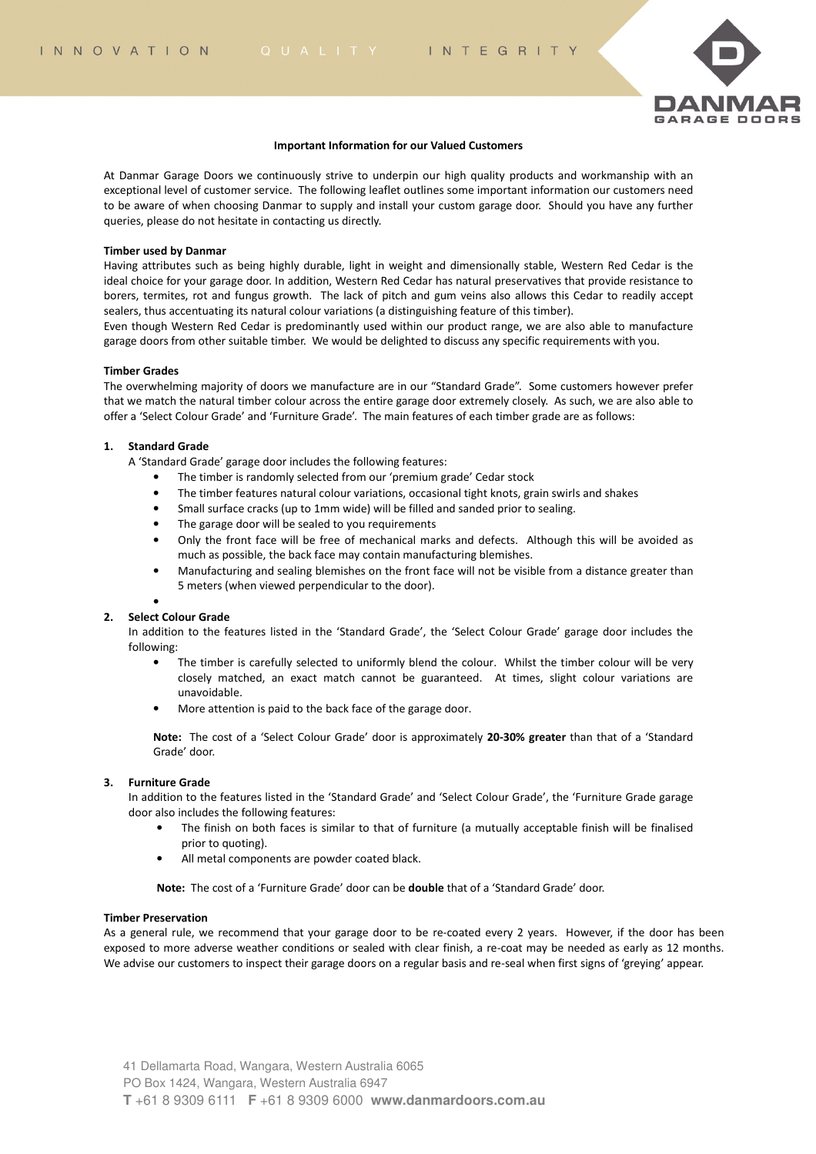

#### **Important Information for our Valued Customers**

At Danmar Garage Doors we continuously strive to underpin our high quality products and workmanship with an exceptional level of customer service. The following leaflet outlines some important information our customers need to be aware of when choosing Danmar to supply and install your custom garage door. Should you have any further queries, please do not hesitate in contacting us directly.

#### **Timber used by Danmar**

Having attributes such as being highly durable, light in weight and dimensionally stable, Western Red Cedar is the ideal choice for your garage door. In addition, Western Red Cedar has natural preservatives that provide resistance to borers, termites, rot and fungus growth. The lack of pitch and gum veins also allows this Cedar to readily accept sealers, thus accentuating its natural colour variations (a distinguishing feature of this timber).

Even though Western Red Cedar is predominantly used within our product range, we are also able to manufacture garage doors from other suitable timber. We would be delighted to discuss any specific requirements with you.

#### **Timber Grades**

The overwhelming majority of doors we manufacture are in our "Standard Grade". Some customers however prefer that we match the natural timber colour across the entire garage door extremely closely. As such, we are also able to offer a 'Select Colour Grade' and 'Furniture Grade'. The main features of each timber grade are as follows:

## **1. Standard Grade**

A 'Standard Grade' garage door includes the following features:

- The timber is randomly selected from our 'premium grade' Cedar stock
- The timber features natural colour variations, occasional tight knots, grain swirls and shakes
- Small surface cracks (up to 1mm wide) will be filled and sanded prior to sealing.
- The garage door will be sealed to you requirements
- Only the front face will be free of mechanical marks and defects. Although this will be avoided as much as possible, the back face may contain manufacturing blemishes.
- Manufacturing and sealing blemishes on the front face will not be visible from a distance greater than 5 meters (when viewed perpendicular to the door).

# •

## **2. Select Colour Grade**

In addition to the features listed in the 'Standard Grade', the 'Select Colour Grade' garage door includes the following:

- The timber is carefully selected to uniformly blend the colour. Whilst the timber colour will be very closely matched, an exact match cannot be guaranteed. At times, slight colour variations are unavoidable.
- More attention is paid to the back face of the garage door.

**Note:** The cost of a 'Select Colour Grade' door is approximately **20-30% greater** than that of a 'Standard Grade' door.

## **3. Furniture Grade**

In addition to the features listed in the 'Standard Grade' and 'Select Colour Grade', the 'Furniture Grade garage door also includes the following features:

- The finish on both faces is similar to that of furniture (a mutually acceptable finish will be finalised prior to quoting).
- All metal components are powder coated black.

**Note:** The cost of a 'Furniture Grade' door can be **double** that of a 'Standard Grade' door.

#### **Timber Preservation**

As a general rule, we recommend that your garage door to be re-coated every 2 years. However, if the door has been exposed to more adverse weather conditions or sealed with clear finish, a re-coat may be needed as early as 12 months. We advise our customers to inspect their garage doors on a regular basis and re-seal when first signs of 'greying' appear.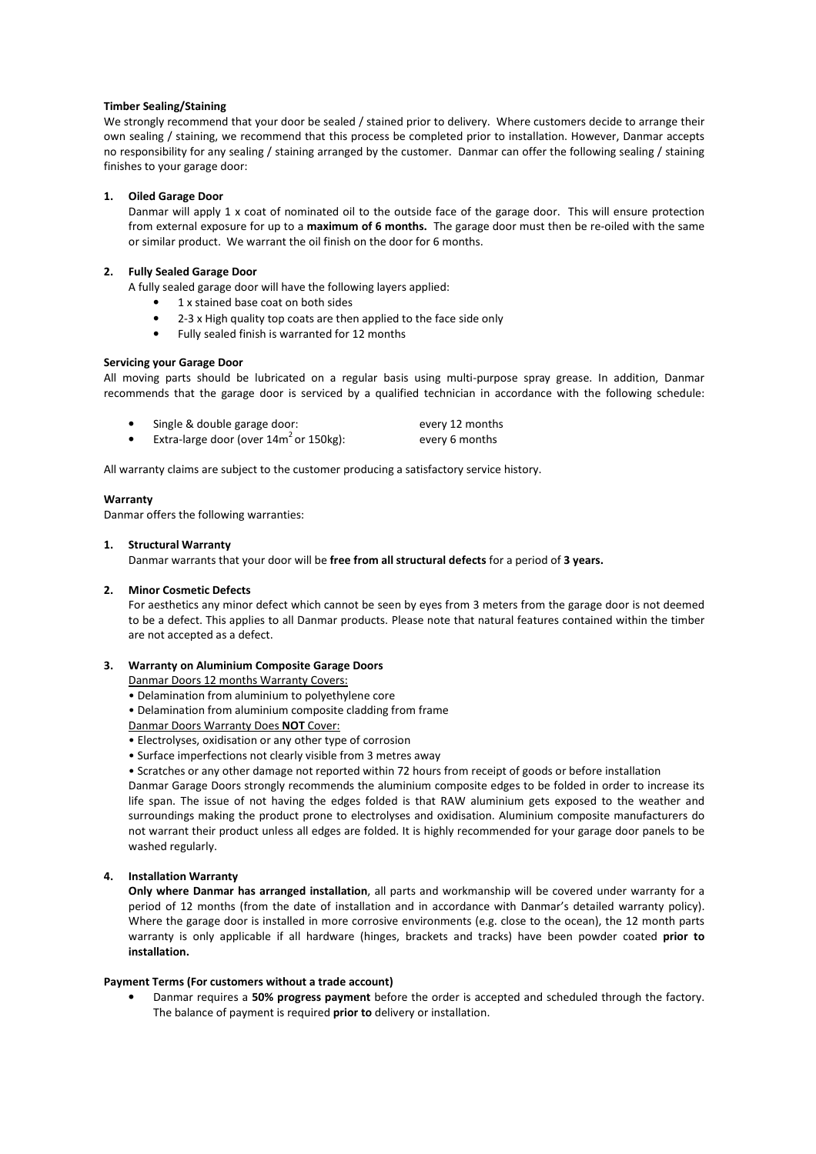## **Timber Sealing/Staining**

We strongly recommend that your door be sealed / stained prior to delivery. Where customers decide to arrange their own sealing / staining, we recommend that this process be completed prior to installation. However, Danmar accepts no responsibility for any sealing / staining arranged by the customer. Danmar can offer the following sealing / staining finishes to your garage door:

## **1. Oiled Garage Door**

Danmar will apply 1 x coat of nominated oil to the outside face of the garage door. This will ensure protection from external exposure for up to a **maximum of 6 months.** The garage door must then be re-oiled with the same or similar product. We warrant the oil finish on the door for 6 months.

## **2. Fully Sealed Garage Door**

A fully sealed garage door will have the following layers applied:

- 1 x stained base coat on both sides
- 2-3 x High quality top coats are then applied to the face side only
- Fully sealed finish is warranted for 12 months

## **Servicing your Garage Door**

All moving parts should be lubricated on a regular basis using multi-purpose spray grease. In addition, Danmar recommends that the garage door is serviced by a qualified technician in accordance with the following schedule:

| Single & double garage door:                 | every 12 months |
|----------------------------------------------|-----------------|
| Extra-large door (over $14m^2$ or $150kg$ ): | every 6 months  |

All warranty claims are subject to the customer producing a satisfactory service history.

#### **Warranty**

Danmar offers the following warranties:

#### **1. Structural Warranty**

Danmar warrants that your door will be **free from all structural defects** for a period of **3 years.**

#### **2. Minor Cosmetic Defects**

For aesthetics any minor defect which cannot be seen by eyes from 3 meters from the garage door is not deemed to be a defect. This applies to all Danmar products. Please note that natural features contained within the timber are not accepted as a defect.

## **3. Warranty on Aluminium Composite Garage Doors**

Danmar Doors 12 months Warranty Covers:

- Delamination from aluminium to polyethylene core
- Delamination from aluminium composite cladding from frame

# Danmar Doors Warranty Does **NOT** Cover:

- Electrolyses, oxidisation or any other type of corrosion
- Surface imperfections not clearly visible from 3 metres away
- Scratches or any other damage not reported within 72 hours from receipt of goods or before installation

Danmar Garage Doors strongly recommends the aluminium composite edges to be folded in order to increase its life span. The issue of not having the edges folded is that RAW aluminium gets exposed to the weather and surroundings making the product prone to electrolyses and oxidisation. Aluminium composite manufacturers do not warrant their product unless all edges are folded. It is highly recommended for your garage door panels to be washed regularly.

# **4. Installation Warranty**

**Only where Danmar has arranged installation**, all parts and workmanship will be covered under warranty for a period of 12 months (from the date of installation and in accordance with Danmar's detailed warranty policy). Where the garage door is installed in more corrosive environments (e.g. close to the ocean), the 12 month parts warranty is only applicable if all hardware (hinges, brackets and tracks) have been powder coated **prior to installation.** 

## **Payment Terms (For customers without a trade account)**

• Danmar requires a **50% progress payment** before the order is accepted and scheduled through the factory. The balance of payment is required **prior to** delivery or installation.